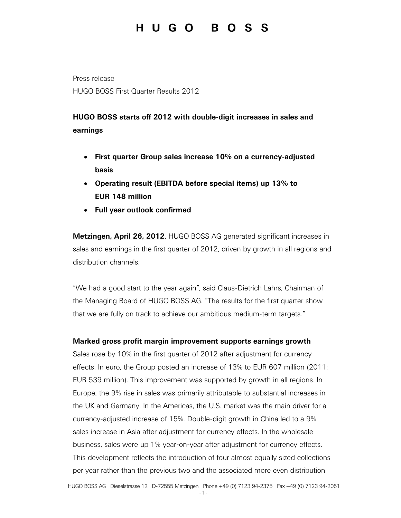Press release HUGO BOSS First Quarter Results 2012

## **HUGO BOSS starts off 2012 with double-digit increases in sales and earnings**

- **First quarter Group sales increase 10% on a currency-adjusted basis**
- **Operating result (EBITDA before special items) up 13% to EUR 148 million**
- **Full year outlook confirmed**

**Metzingen, April 26, 2012**. HUGO BOSS AG generated significant increases in sales and earnings in the first quarter of 2012, driven by growth in all regions and distribution channels.

"We had a good start to the year again", said Claus-Dietrich Lahrs, Chairman of the Managing Board of HUGO BOSS AG. "The results for the first quarter show that we are fully on track to achieve our ambitious medium-term targets."

### **Marked gross profit margin improvement supports earnings growth**

Sales rose by 10% in the first quarter of 2012 after adjustment for currency effects. In euro, the Group posted an increase of 13% to EUR 607 million (2011: EUR 539 million). This improvement was supported by growth in all regions. In Europe, the 9% rise in sales was primarily attributable to substantial increases in the UK and Germany. In the Americas, the U.S. market was the main driver for a currency-adjusted increase of 15%. Double-digit growth in China led to a 9% sales increase in Asia after adjustment for currency effects. In the wholesale business, sales were up 1% year-on-year after adjustment for currency effects. This development reflects the introduction of four almost equally sized collections per year rather than the previous two and the associated more even distribution

-1-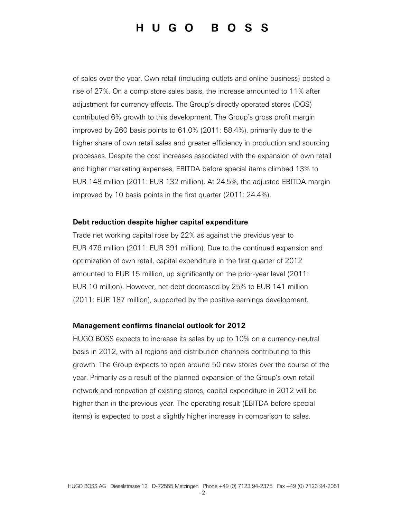of sales over the year. Own retail (including outlets and online business) posted a rise of 27%. On a comp store sales basis, the increase amounted to 11% after adjustment for currency effects. The Group's directly operated stores (DOS) contributed 6% growth to this development. The Group's gross profit margin improved by 260 basis points to 61.0% (2011: 58.4%), primarily due to the higher share of own retail sales and greater efficiency in production and sourcing processes. Despite the cost increases associated with the expansion of own retail and higher marketing expenses, EBITDA before special items climbed 13% to EUR 148 million (2011: EUR 132 million). At 24.5%, the adjusted EBITDA margin improved by 10 basis points in the first quarter (2011: 24.4%).

#### **Debt reduction despite higher capital expenditure**

Trade net working capital rose by 22% as against the previous year to EUR 476 million (2011: EUR 391 million). Due to the continued expansion and optimization of own retail, capital expenditure in the first quarter of 2012 amounted to EUR 15 million, up significantly on the prior-year level (2011: EUR 10 million). However, net debt decreased by 25% to EUR 141 million (2011: EUR 187 million), supported by the positive earnings development.

#### **Management confirms financial outlook for 2012**

HUGO BOSS expects to increase its sales by up to 10% on a currency-neutral basis in 2012, with all regions and distribution channels contributing to this growth. The Group expects to open around 50 new stores over the course of the year. Primarily as a result of the planned expansion of the Group's own retail network and renovation of existing stores, capital expenditure in 2012 will be higher than in the previous year. The operating result (EBITDA before special items) is expected to post a slightly higher increase in comparison to sales.

-2-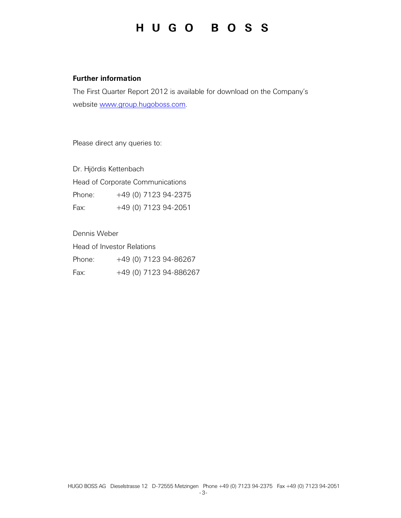### **Further information**

The First Quarter Report 2012 is available for download on the Company's website www.group.hugoboss.com.

Please direct any queries to:

Dr. Hjördis Kettenbach Head of Corporate Communications Phone: +49 (0) 7123 94-2375 Fax: +49 (0) 7123 94-2051

Dennis Weber Head of Investor Relations Phone: +49 (0) 7123 94-86267 Fax: +49 (0) 7123 94-886267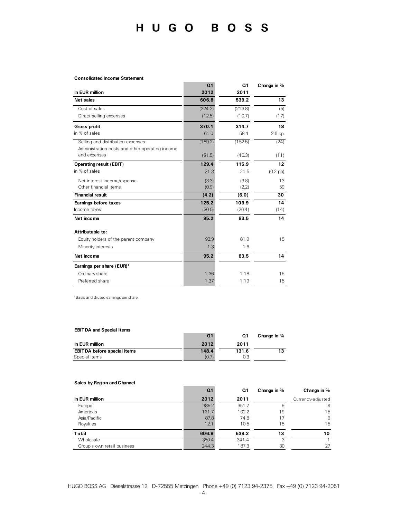#### **Consolidated Income Statement**

|                                                                                      | Q <sub>1</sub> | Q <sub>1</sub> | Change in %   |
|--------------------------------------------------------------------------------------|----------------|----------------|---------------|
| in EUR million                                                                       | 2012           | 2011           |               |
| <b>Net sales</b>                                                                     | 606.8          | 539.2          | 13            |
| Cost of sales                                                                        | (224.2)        | (213.8)        | (5)           |
| Direct selling expenses                                                              | (12.5)         | (10.7)         | (17)          |
| <b>Gross profit</b>                                                                  | 370.1          | 314.7          | 18            |
| in % of sales                                                                        | 61.0           | 58.4           | $2.6$ pp      |
| Selling and distribution expenses<br>Administration costs and other operating income | (189.2)        | (152.5)        | (24)          |
| and expenses                                                                         | (51.5)         | (46.3)         | (11)          |
| Operating result (EBIT)                                                              | 129.4          | 115.9          | 12            |
| in % of sales                                                                        | 21.3           | 21.5           | $(0.2$ pp $)$ |
| Net interest income/expense                                                          | (3.3)          | (3.8)          | 13            |
| Other financial items                                                                | (0.9)          | (2.2)          | 59            |
| <b>Financial result</b>                                                              | (4.2)          | (6.0)          | 30            |
| Earnings before taxes                                                                | 125.2          | 109.9          | 14            |
| Income taxes                                                                         | (30.0)         | (26.4)         | (14)          |
| Net income                                                                           | 95.2           | 83.5           | 14            |
| Attributable to:                                                                     |                |                |               |
| Equity holders of the parent company                                                 | 93.9           | 81.9           | 15            |
| Minority interests                                                                   | 1.3            | 1.6            |               |
| Net income                                                                           | 95.2           | 83.5           | 14            |
| Earnings per share (EUR) <sup>1</sup>                                                |                |                |               |
| Ordinary share                                                                       | 1.36           | 1.18           | 15            |
| Preferred share                                                                      | 1.37           | 1.19           | 15            |

1 Basic and diluted earnings per share.

### **EBITDA and Special Items**

|                                    | Ω1    | Ω1    | Change in % |
|------------------------------------|-------|-------|-------------|
| in EUR million                     | 2012  | 2011  |             |
| <b>EBITDA before special items</b> | 148.4 | 131.6 |             |
| Special items                      | (0.7) | 0.3   |             |

#### **Sales by Region and Channel**

|                             | O.    | Q1    | Change in % | Change in $%$     |
|-----------------------------|-------|-------|-------------|-------------------|
| in EUR million              | 2012  | 2011  |             | Currency-adjusted |
| Europe                      | 385.2 | 351.7 | 9           | 9                 |
| Americas                    | 121.7 | 102.2 | 19          | 15                |
| Asia/Pacific                | 87.8  | 74.8  | 17          | 9                 |
| Royalties                   | 12.1  | 10.5  | 15          | 15                |
| <b>Total</b>                | 606.8 | 539.2 | 13          | 10                |
| Wholesale                   | 350.4 | 341.4 | 3           |                   |
| Group's own retail business | 244.3 | 187.3 | 30          | 27                |

HUGO BOSS AG Dieselstrasse 12 D-72555 Metzingen Phone +49 (0) 7123 94-2375 Fax +49 (0) 7123 94-2051